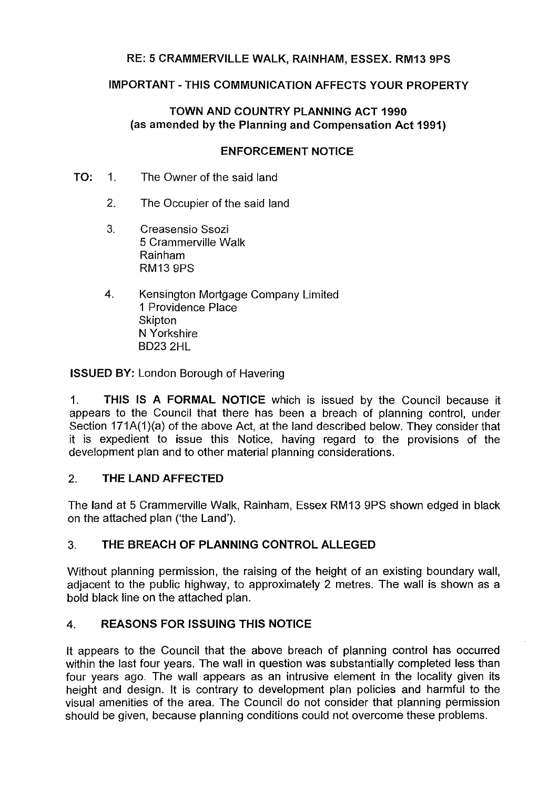## **RE: 5 CRAMMERVILLE WALK, RAINHAM, ESSEX. RM13 9PS**

## **IMPORTANT-THIS COMMUNICATION AFFECTS YOUR PROPERTY**

## **TOWN AND COUNTRY PLANNING ACT 1990 (as amended by the Planning and Compensation Act 1991)**

#### **ENFORCEMENT NOTICE**

- **TO:** 1. The Owner of the said land
	- 2. The Occupier of the said land
	- 3. Creasensio Ssozi 5 Crammerville Walk Rainham RM13 9PS
	- 4. Kensington Mortgage Company Limited 1 Providence Place Skipton **N** Yorkshire B023 2HL

**ISSUED BY:** London Borough of Havering

1. **THIS IS A FORMAL NOTICE** which is issued by the Council because it appears to the Council that there has been a breach of planning control, under Section 171A(1)(a) of the above Act, at the land described below. They consider that it is expedient to issue this Notice, having regard to the provisions of the development plan and to other material planning considerations.

### 2. **THE LAND AFFECTED**

The land at 5 Crammerville Walk, Rainham, Essex RM13 9PS shown edged in black on the attached plan ('the Land').

# 3. **THE BREACH OF PLANNING CONTROL ALLEGED**

Without planning permission, the raising of the height of an existing boundary wall, adjacent to the public highway, to approximately 2 metres. The wall is shown as a bold black line on the attached plan.

# **4. REASONS FOR ISSUING THIS NOTICE**

It appears to the Council that the above breach of planning control has occurred within the last four years. The wall in question was substantially completed less than four years ago. The wall appears as an intrusive element in the locality given its height and design. It is contrary to development plan policies and harmful to the visual amenities of the area. The Council do not consider that planning permission should be given, because planning conditions could not overcome these problems.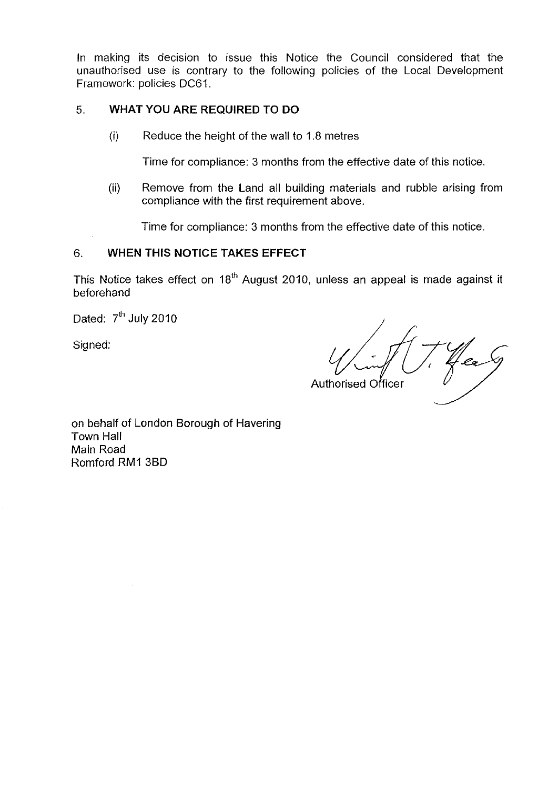In making its decision to issue this Notice the Council considered that the unauthorised use is contrary to the following policies of the Local Development Framework: policies DC61.

## 5. **WHAT YOU ARE REQUIRED TO DO**

(i) Reduce the height of the wall to 1.8 metres

Time for compliance: 3 months from the effective date of this notice.

(ii) Remove from the Land all building materials and rubble arising from compliance with the first requirement above.

Time for compliance: 3 months from the effective date of this notice.

## 6. **WHEN THIS NOTICE TAKES EFFECT**

This Notice takes effect on  $18<sup>th</sup>$  August 2010, unless an appeal is made against it beforehand

Dated:  $7<sup>th</sup>$  July 2010

Signed:

'Ca Authorised Officer

on behalf of London Borough of Havering Town Hall Main Road Romford RM1 38D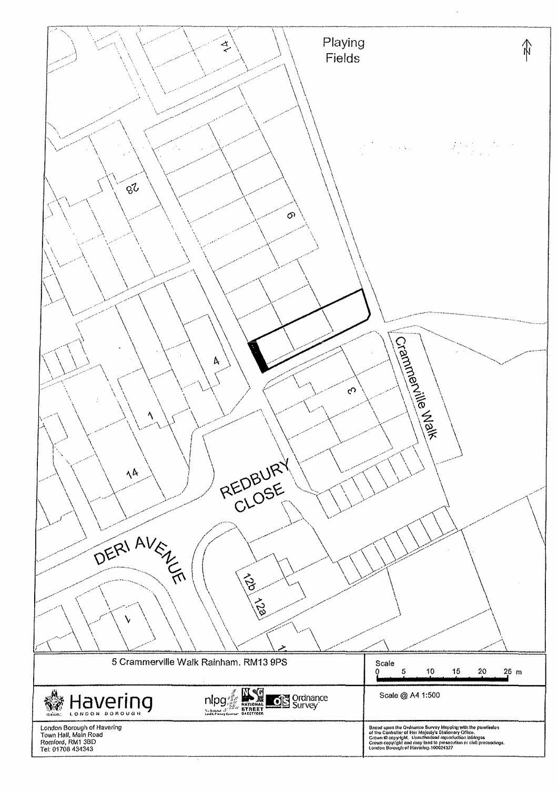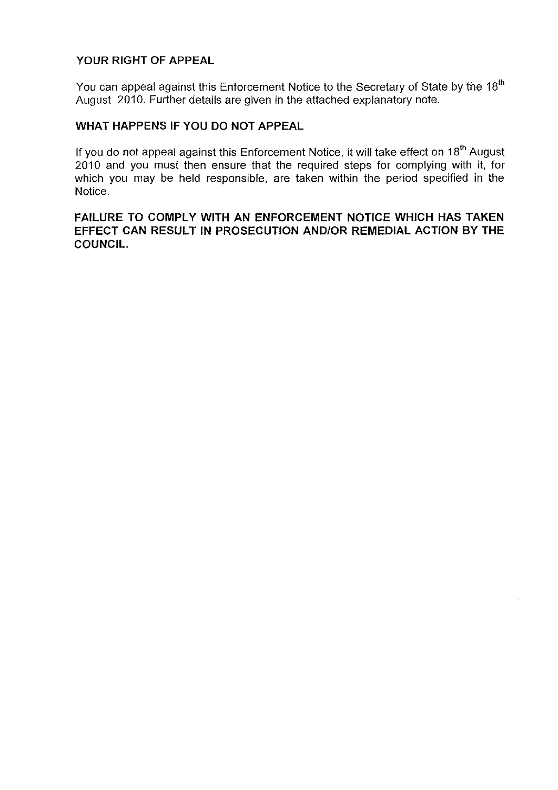## **YOUR RIGHT OF APPEAL**

You can appeal against this Enforcement Notice to the Secretary of State by the 18<sup>th</sup> August 2010. Further details are given in the attached explanatory note.

### **WHAT HAPPENS IF YOU DO NOT APPEAL**

If you do not appeal against this Enforcement Notice, it will take effect on 18<sup>th</sup> August 2010 and you must then ensure that the required steps for complying with it, for which you may be held responsible, are taken within the period specified in the Notice.

## **FAILURE TO COMPLY WITH AN ENFORCEMENT NOTICE WHICH HAS TAKEN EFFECT CAN RESULT IN PROSECUTION AND/OR REMEDIAL ACTION BY THE COUNCIL.**

 $\bar{z}$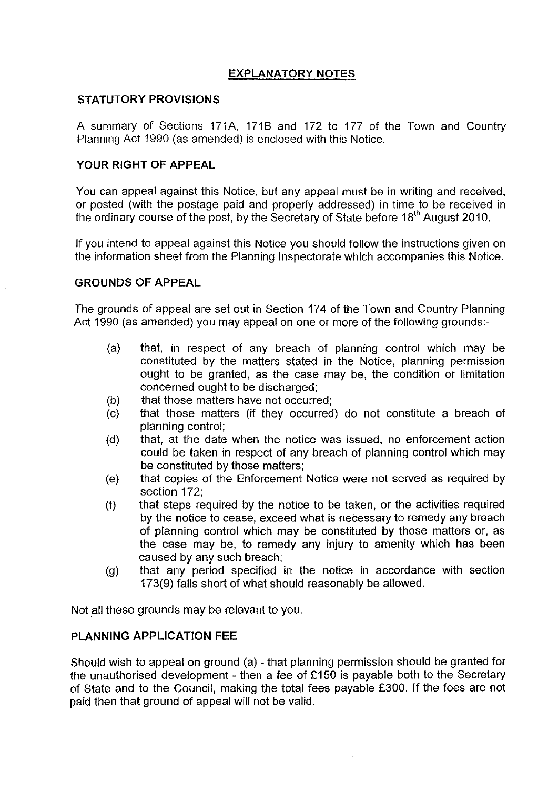## **EXPLANATORY NOTES**

#### **STATUTORY PROVISIONS**

A summary of Sections 171A, 171B and 172 to 177 of the Town and Country Planning Act 1990 (as amended) is enclosed with this Notice.

#### **YOUR RIGHT OF APPEAL**

You can appeal against this Notice, but any appeal must be in writing and received, or posted (with the postage paid and properly addressed) in time to be received in the ordinary course of the post, by the Secretary of State before 18<sup>th</sup> August 2010.

If you intend to appeal against this Notice you should follow the instructions given on the information sheet from the Planning Inspectorate which accompanies this Notice.

#### **GROUNDS OF APPEAL**

The grounds of appeal are set out in Section 174 of the Town and Country Planning Act 1990 (as amended) you may appeal on one or more of the following grounds:-

- (a) that, in respect of any breach of planning control which may be constituted by the matters stated in the Notice, planning permission ought to be granted, as the case may be, the condition or limitation concerned ought to be discharged;
- (b) that those matters have not occurred;
- (c) that those matters (if they occurred) do not constitute a breach of planning control;
- (d) that, at the date when the notice was issued, no enforcement action could be taken in respect of any breach of planning control which may be constituted by those matters;
- (e) that copies of the Enforcement Notice were not served as required by section 172;
- (f) that steps required by the notice to be taken, or the activities required by the notice to cease, exceed what is necessary to remedy any breach of planning control which may be constituted by those matters or, as the case may be, to remedy any injury to amenity which has been caused by any such breach;
- (g) that any period specified in the notice in accordance with section 173(9) falls short of what should reasonably be allowed.

Not all these grounds may be relevant to you.

### **PLANNING APPLICATION FEE**

Should wish to appeal on ground (a) - that planning permission should be granted for the unauthorised development - then a fee of £150 is payable both to the Secretary of State and to the Council, making the total fees payable £300. If the fees are not paid then that ground of appeal will not be valid.